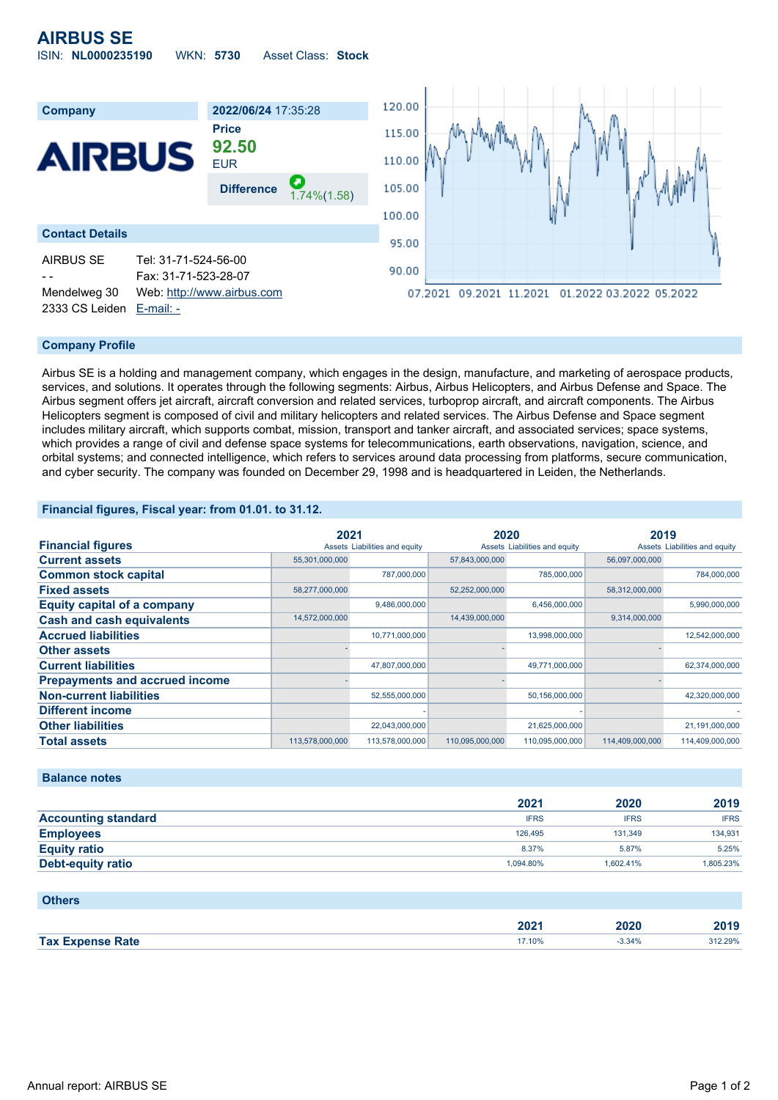| <b>AIRBUS SE</b>          |                  |                    |  |
|---------------------------|------------------|--------------------|--|
| <b>ISIN: NL0000235190</b> | <b>WKN: 5730</b> | Asset Class: Stock |  |



# **Company Profile**

Airbus SE is a holding and management company, which engages in the design, manufacture, and marketing of aerospace products, services, and solutions. It operates through the following segments: Airbus, Airbus Helicopters, and Airbus Defense and Space. The Airbus segment offers jet aircraft, aircraft conversion and related services, turboprop aircraft, and aircraft components. The Airbus Helicopters segment is composed of civil and military helicopters and related services. The Airbus Defense and Space segment includes military aircraft, which supports combat, mission, transport and tanker aircraft, and associated services; space systems, which provides a range of civil and defense space systems for telecommunications, earth observations, navigation, science, and orbital systems; and connected intelligence, which refers to services around data processing from platforms, secure communication, and cyber security. The company was founded on December 29, 1998 and is headquartered in Leiden, the Netherlands.

## **Financial figures, Fiscal year: from 01.01. to 31.12.**

|                                       | 2021            |                               | 2020            |                               | 2019            |                               |
|---------------------------------------|-----------------|-------------------------------|-----------------|-------------------------------|-----------------|-------------------------------|
| <b>Financial figures</b>              |                 | Assets Liabilities and equity |                 | Assets Liabilities and equity |                 | Assets Liabilities and equity |
| <b>Current assets</b>                 | 55,301,000,000  |                               | 57,843,000,000  |                               | 56.097.000.000  |                               |
| <b>Common stock capital</b>           |                 | 787,000,000                   |                 | 785,000,000                   |                 | 784,000,000                   |
| <b>Fixed assets</b>                   | 58,277,000,000  |                               | 52,252,000,000  |                               | 58,312,000,000  |                               |
| <b>Equity capital of a company</b>    |                 | 9,486,000,000                 |                 | 6,456,000,000                 |                 | 5,990,000,000                 |
| <b>Cash and cash equivalents</b>      | 14,572,000,000  |                               | 14,439,000,000  |                               | 9,314,000,000   |                               |
| <b>Accrued liabilities</b>            |                 | 10,771,000,000                |                 | 13,998,000,000                |                 | 12,542,000,000                |
| <b>Other assets</b>                   |                 |                               |                 |                               |                 |                               |
| <b>Current liabilities</b>            |                 | 47,807,000,000                |                 | 49,771,000,000                |                 | 62,374,000,000                |
| <b>Prepayments and accrued income</b> |                 |                               |                 |                               |                 |                               |
| <b>Non-current liabilities</b>        |                 | 52,555,000,000                |                 | 50,156,000,000                |                 | 42,320,000,000                |
| <b>Different income</b>               |                 |                               |                 |                               |                 |                               |
| <b>Other liabilities</b>              |                 | 22,043,000,000                |                 | 21,625,000,000                |                 | 21,191,000,000                |
| <b>Total assets</b>                   | 113,578,000,000 | 113,578,000,000               | 110,095,000,000 | 110,095,000,000               | 114,409,000,000 | 114,409,000,000               |

## **Balance notes**

|                            | 2021        | 2020        | 2019        |
|----------------------------|-------------|-------------|-------------|
| <b>Accounting standard</b> | <b>IFRS</b> | <b>IFRS</b> | <b>IFRS</b> |
| <b>Employees</b>           | 126.495     | 131.349     | 134,931     |
| <b>Equity ratio</b>        | 8.37%       | 5.87%       | 5.25%       |
| <b>Debt-equity ratio</b>   | 1.094.80%   | 1.602.41%   | 1,805.23%   |

#### **Others**

|            | החה<br>ZUZ | .   | .<br>40 I J |
|------------|------------|-----|-------------|
| <b>Tax</b> | 17.10%     | 34% | 29%         |
| Rate       |            | .   |             |